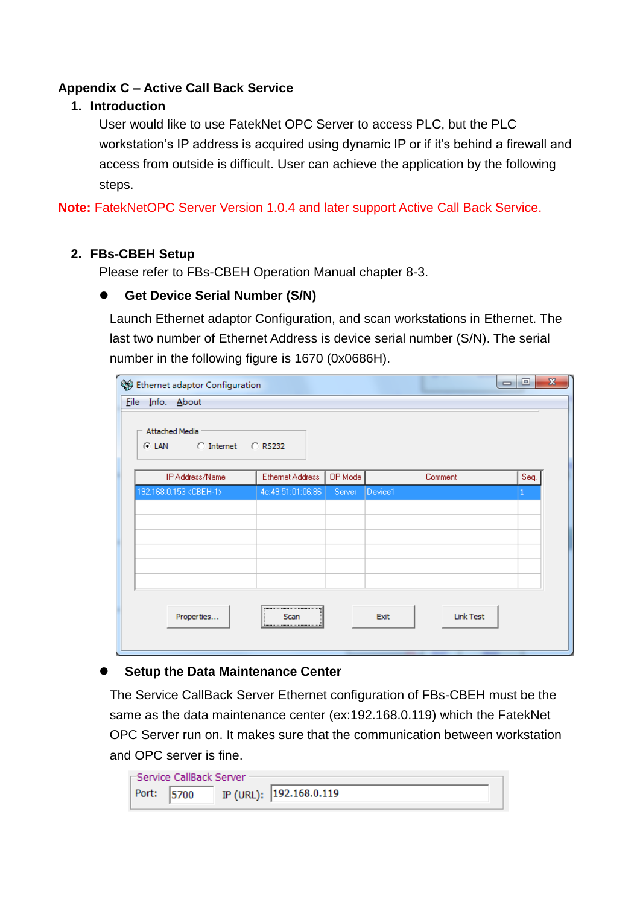# **Appendix C – Active Call Back Service**

## **1. Introduction**

User would like to use FatekNet OPC Server to access PLC, but the PLC workstation's IP address is acquired using dynamic IP or if it's behind a firewall and access from outside is difficult. User can achieve the application by the following steps.

**Note:** FatekNetOPC Server Version 1.0.4 and later support Active Call Back Service.

#### **2. FBs-CBEH Setup**

Please refer to FBs-CBEH Operation Manual chapter 8-3.

## **Get Device Serial Number (S/N)**

Launch Ethernet adaptor Configuration, and scan workstations in Ethernet. The last two number of Ethernet Address is device serial number (S/N). The serial number in the following figure is 1670 (0x0686H).

| <u>File</u> | Se Ethernet adaptor Configuration<br>Info. About |                   |         |         | $\Box$           | ▣    | $\mathbf{x}$ |
|-------------|--------------------------------------------------|-------------------|---------|---------|------------------|------|--------------|
|             | Attached Media<br>C Internet<br>⊙ LAN            | C RS232           |         |         |                  |      |              |
|             | IP Address/Name                                  | Ethernet Address  | OP Mode |         | Comment          | Seq. |              |
|             | 192.168.0.153 <cbeh-1></cbeh-1>                  | 4c:49:51:01:06:86 | Server  | Device1 |                  | 1    |              |
|             |                                                  |                   |         |         |                  |      |              |
|             |                                                  |                   |         |         |                  |      |              |
|             |                                                  |                   |         |         |                  |      |              |
|             |                                                  |                   |         |         |                  |      |              |
|             |                                                  |                   |         |         |                  |      |              |
|             |                                                  |                   |         |         |                  |      |              |
|             | Properties                                       | ,<br>Scan<br>÷    |         | Exit    | <b>Link Test</b> |      |              |

## **Setup the Data Maintenance Center**

The Service CallBack Server Ethernet configuration of FBs-CBEH must be the same as the data maintenance center (ex:192.168.0.119) which the FatekNet OPC Server run on. It makes sure that the communication between workstation and OPC server is fine.

| ⊢Service CallBack Server |  |  |                         |  |  |  |  |  |
|--------------------------|--|--|-------------------------|--|--|--|--|--|
| Port: 5700               |  |  | IP (URL): 192.168.0.119 |  |  |  |  |  |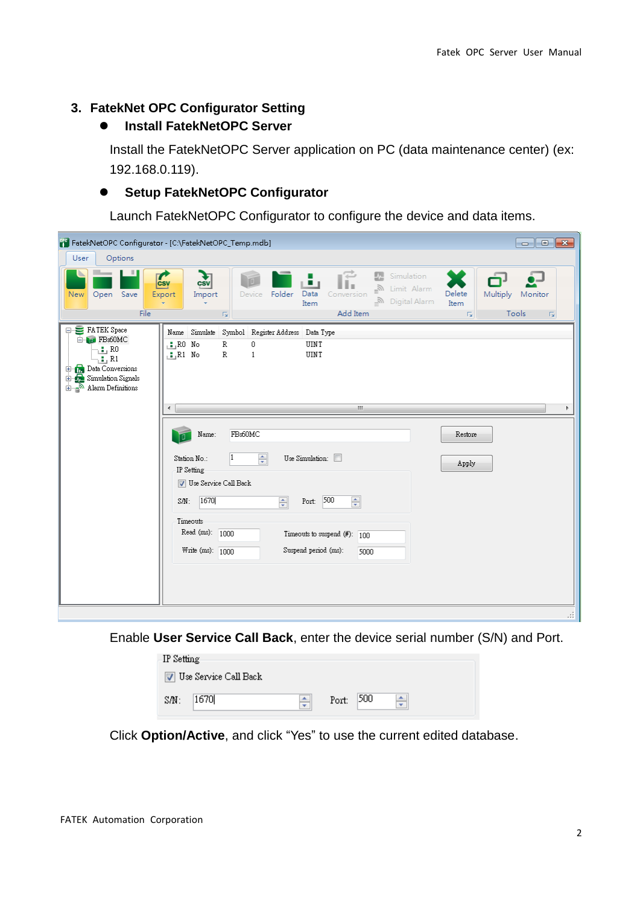#### **3. FatekNet OPC Configurator Setting**

## **Install FatekNetOPC Server**

Install the FatekNetOPC Server application on PC (data maintenance center) (ex: 192.168.0.119).

#### **Setup FatekNetOPC Configurator**

Launch FatekNetOPC Configurator to configure the device and data items.

| FatekNetOPC Configurator - [C:\FatekNetOPC_Temp.mdb]<br>$\begin{array}{c c c c c} \hline \multicolumn{3}{c }{\textbf{}} & \multicolumn{3}{c }{\textbf{}} & \multicolumn{3}{c }{\textbf{}} & \multicolumn{3}{c }{\textbf{}} & \multicolumn{3}{c }{\textbf{}} \end{array}$ |                                                                                                                                                                                                                                                                                      |                                                                                             |  |  |  |  |  |  |  |
|--------------------------------------------------------------------------------------------------------------------------------------------------------------------------------------------------------------------------------------------------------------------------|--------------------------------------------------------------------------------------------------------------------------------------------------------------------------------------------------------------------------------------------------------------------------------------|---------------------------------------------------------------------------------------------|--|--|--|--|--|--|--|
| Options<br>User                                                                                                                                                                                                                                                          |                                                                                                                                                                                                                                                                                      |                                                                                             |  |  |  |  |  |  |  |
| ш<br>Save<br><b>New</b><br>Open<br>File                                                                                                                                                                                                                                  | 暗<br>조<br>Simulation<br>$\frac{1}{\cos y}$<br>csv<br>وقر<br>∐imit Alarm<br>Folder<br>Data<br>Export<br>Import<br>Device<br>Conversion<br><b>ு</b> Digital Alarm<br>Item<br>÷<br>Add Item<br>$\overline{\Gamma_{20}}$                                                                 | ഫ<br>Delete<br>Multiply<br>Monitor<br>Item<br>Tools<br>$\Gamma_{\rm M}$<br>$\Gamma_{\rm M}$ |  |  |  |  |  |  |  |
| FATEK Space<br>E- <b>N</b> FBs60MC<br>R0 ر <mark>ائ</mark> ے۔<br>$\gamma$ : , R1<br><b>Data Conversions</b><br>Ė<br>Simulation Signals<br>Ė.<br>$\frac{1}{\pm}$ Alarm Definitions                                                                                        | Name Simulate<br>Symbol Register Address Data Type<br>$R0$ No<br>$\mathbb R$<br>0<br>UINT<br>R<br>$R1$ No<br>UINT<br>$\mathbf{1}$                                                                                                                                                    |                                                                                             |  |  |  |  |  |  |  |
|                                                                                                                                                                                                                                                                          | $\mathbf{H}$ .<br>∢                                                                                                                                                                                                                                                                  |                                                                                             |  |  |  |  |  |  |  |
|                                                                                                                                                                                                                                                                          | FBs60MC<br>Name:<br>÷<br>Use Simulation:<br>Station No.:<br>IP Setting<br><b>V</b> Use Service Call Back<br>Port: 500<br>1670<br>÷<br>$\div$<br>SM:<br>Timeouts<br>Read (ms): 1000<br>Timeouts to suspend $(\#)$ : $\boxed{100}$<br>Suspend period (ms):<br>Write (ms): 1000<br>5000 | Restore<br>Apply                                                                            |  |  |  |  |  |  |  |
|                                                                                                                                                                                                                                                                          |                                                                                                                                                                                                                                                                                      |                                                                                             |  |  |  |  |  |  |  |
|                                                                                                                                                                                                                                                                          |                                                                                                                                                                                                                                                                                      | зă                                                                                          |  |  |  |  |  |  |  |

Enable **User Service Call Back**, enter the device serial number (S/N) and Port.

| IP Setting                     |   |                   |  |  |  |  |  |  |
|--------------------------------|---|-------------------|--|--|--|--|--|--|
| <b>V</b> Use Service Call Back |   |                   |  |  |  |  |  |  |
|                                |   |                   |  |  |  |  |  |  |
| 1670<br>SAN:                   | ٠ | 500<br>Port:<br>÷ |  |  |  |  |  |  |
|                                |   |                   |  |  |  |  |  |  |

Click **Option/Active**, and click "Yes" to use the current edited database.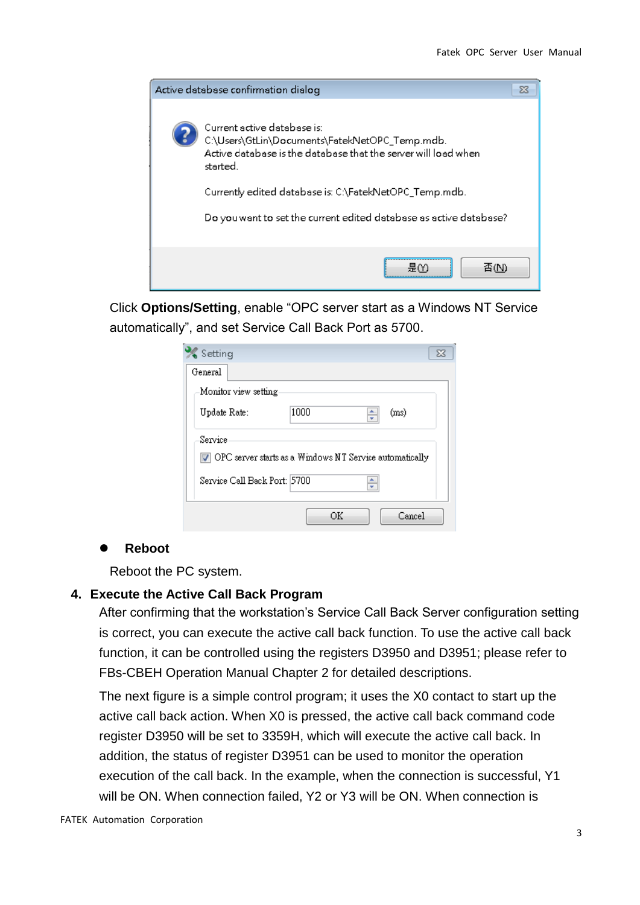

Click **Options/Setting**, enable "OPC server start as a Windows NT Service automatically", and set Service Call Back Port as 5700.

| Setting                      | ΣS                                                      |
|------------------------------|---------------------------------------------------------|
| General                      |                                                         |
| Monitor view setting         |                                                         |
| Update Rate:                 | 1000<br>(ms)<br>$\frac{1}{\tau}$                        |
| Service                      |                                                         |
|                              | OPC server starts as a Windows NT Service automatically |
| Service Call Back Port: 5700 |                                                         |
|                              | ΟK<br>Cancel                                            |

#### **Reboot**

Reboot the PC system.

#### **4. Execute the Active Call Back Program**

After confirming that the workstation's Service Call Back Server configuration setting is correct, you can execute the active call back function. To use the active call back function, it can be controlled using the registers D3950 and D3951; please refer to FBs-CBEH Operation Manual Chapter 2 for detailed descriptions.

The next figure is a simple control program; it uses the X0 contact to start up the active call back action. When X0 is pressed, the active call back command code register D3950 will be set to 3359H, which will execute the active call back. In addition, the status of register D3951 can be used to monitor the operation execution of the call back. In the example, when the connection is successful, Y1 will be ON. When connection failed, Y2 or Y3 will be ON. When connection is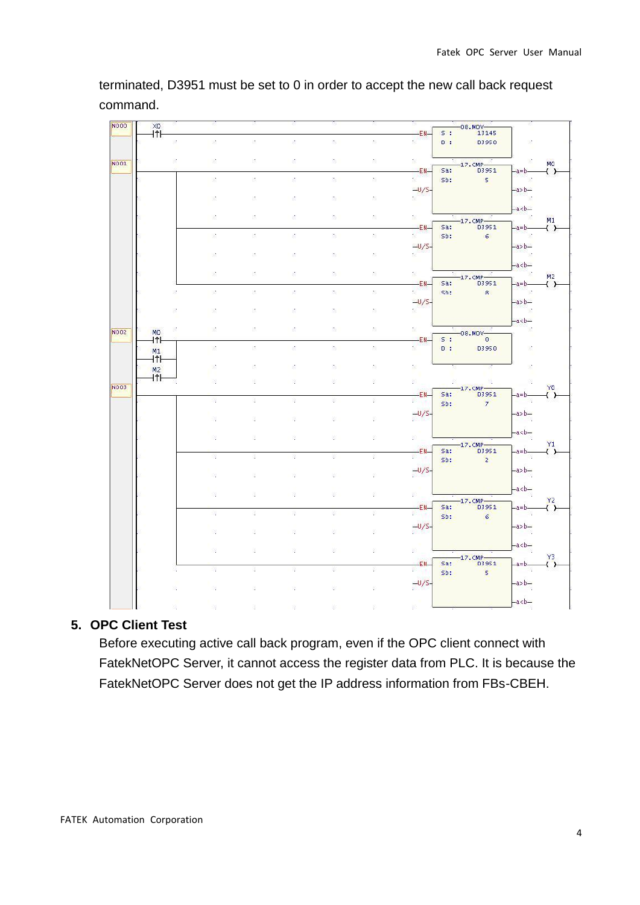| N000        | XO<br>iŤ⊦        |                |                |                |               |     |     | -EN-                    | 5 <sup>1</sup> | $-08.$ MOV-<br>13145    |                                       |                    |
|-------------|------------------|----------------|----------------|----------------|---------------|-----|-----|-------------------------|----------------|-------------------------|---------------------------------------|--------------------|
|             |                  | $\mathbb{R}^*$ | 脸              | $\mathbb{R}^n$ | $\mathcal{E}$ | 衡   | ð.  | g)                      | 0.1            | 03950                   | 鹽                                     |                    |
|             |                  | $\mathbb{R}^n$ | 鹽              | 孫              | š.            | 饱   | 滁   | 9.                      |                |                         | 夓                                     |                    |
| N001        |                  |                |                |                |               |     |     |                         |                | $-17.$ CMP $-$          |                                       | <b>MO</b>          |
|             |                  |                |                |                |               | ß.  |     | -EN-                    | Sa:            | 03951                   | a=b-                                  | ( )                |
|             |                  |                | 喷              | $\mathbb{R}^n$ | š.            |     | ð.  | g,                      | Sb:            | - 15                    | `Le                                   |                    |
|             |                  |                |                |                |               |     |     | $-U/S-$                 |                |                         | $-ab-b-$                              |                    |
|             |                  |                | - 93           | $\mathbb{Z}^n$ | Ì.            | ß.  | 滁   | r.                      |                |                         | - 12                                  |                    |
|             |                  |                |                |                |               |     |     |                         |                |                         | $-ab-a$                               |                    |
|             |                  |                | 股              | 26             | ż             | ۴.  | 想   | B.                      |                | $-17.$ CMP              | eses e                                | M1                 |
|             |                  |                |                |                |               |     |     | -EN-                    | Sa:            | 03951                   | $-a=b-$                               | ( )                |
|             |                  |                | 股              | 抓              | š.            | 饱   | 蹞   | $2^{\frac{h^2}{2}}$     | Sb:            | 6 <sup>1</sup>          | in 1987                               |                    |
|             |                  |                |                |                |               |     |     | $\frac{-U/S}{\sqrt{2}}$ |                |                         | $-ab-b-$                              |                    |
|             |                  |                | $\mathcal{D}$  | Đ.             | s.            | 饱   | 怒   |                         |                |                         | anns <sub>20</sub>                    |                    |
|             |                  |                |                |                |               |     |     |                         |                |                         | $-abc$                                |                    |
|             |                  |                | 监              | 35             | š,            | ۰.  | 額   | 劇                       |                | $-17.$ CMP-             |                                       | M <sub>2</sub>     |
|             |                  |                |                |                |               |     |     | -EN-                    | Sa:            | D3951                   | $-a=b-$                               | $($ $\rightarrow$  |
|             |                  | ×.             | 鹽              | 孫              | š,            | 饱   | 蹞   | e,                      | sb:            | $\mathbf{8}$            | n y                                   |                    |
|             |                  |                |                |                |               |     |     | $-U/S$                  |                |                         | $-ab-b-$                              |                    |
|             |                  | ì.             | 18             | 35             | ž,            | 饱   | 鄬   | $\mathbb{R}^2$          |                |                         | ٦ø                                    |                    |
|             |                  |                |                |                |               |     |     |                         |                |                         | $-ab-a$                               |                    |
| <b>NO02</b> | MO.              |                | 193            | 36             | Š.            | ۰.  | 想   | 81                      |                | $-08.$ MOV-             | `Ø                                    |                    |
|             | $4$ <sup>†</sup> |                |                |                |               |     |     | -EN-                    | $S$ :          | $\overline{0}$          |                                       |                    |
|             | M1               |                | $\mathfrak{A}$ | 抓              | Ø.            | t.  | X.  | ď                       | D: I           | 03950                   | $\begin{array}{c} \hline \end{array}$ |                    |
|             | $\ddagger$       |                |                |                |               |     |     |                         |                |                         |                                       |                    |
|             | M <sub>2</sub>   |                | 览              | 35             | ð             | b,  | 鄬   | $\mathbb{R}^3$          |                |                         | 竖                                     |                    |
|             | <b>ITH</b>       |                |                |                |               |     |     |                         |                |                         |                                       |                    |
| <b>NO03</b> |                  |                | X,             | īŞ.            | Ř,            | Ŷ,  | ğċ, | 隊                       | 叙              | 喉<br>$-17.$ CMP $-$     | Ŷ.                                    | YO                 |
|             |                  |                |                |                |               |     |     | -EN-                    | Sa:            | D3951                   | -a=b-                                 | $\left( \ \right)$ |
|             |                  |                | 璃              | 2              | 滾             | S   | 恋   | 器                       | Sb:            | $\overline{7}$          |                                       |                    |
|             |                  |                |                |                |               |     |     |                         |                |                         | -a>b-                                 |                    |
|             |                  |                | 溶              | X              | R             | Ķ   | Ø   | $-0/5-$                 |                |                         |                                       |                    |
|             |                  |                |                |                |               |     |     |                         |                |                         | -akb                                  |                    |
|             |                  |                | 瀉              | X              | R             | í,  | Ø.  | 総工                      |                |                         |                                       |                    |
|             |                  |                |                |                |               |     |     | -EN-                    | Sa:            | $-17.$ CMP $-$<br>D3951 | -a=b                                  | Y1                 |
|             |                  |                | 慦              | 2              | 滾             | s   | g.  | ×.                      | Sb:            | $\sqrt{2}$              |                                       | $\left( \right)$   |
|             |                  |                |                |                |               |     |     |                         |                |                         | $-ab$                                 |                    |
|             |                  |                | $\sqrt{2}$     | ş              | Ŕ.            | š,  | Ø.  | $-0/5$                  |                |                         |                                       |                    |
|             |                  |                |                |                |               |     |     |                         |                |                         |                                       |                    |
|             |                  |                | 窹              | S,             | R             | s   | ğ,  | $\mathbb{R}^n$ .        |                |                         | $-ds -$                               |                    |
|             |                  |                |                |                |               |     |     |                         |                | $-17.$ CMP-             |                                       | Y <sub>2</sub>     |
|             |                  |                | 88             | 2              | 滾             | الأ | 蒅   | -EN<br>柳山               | Sa:            | D3951                   | -a=b-                                 | $\left( \ \right)$ |
|             |                  |                |                |                |               |     |     |                         | Sb:            | 6                       |                                       |                    |
|             |                  |                | $\frac{1}{2}$  | ş              | R             | š,  | Ø.  | $-\frac{U}{S}$          |                |                         | -a>b-                                 |                    |
|             |                  |                |                |                |               |     |     |                         |                |                         |                                       |                    |
|             |                  |                | ×              | s              |               | s   | Ø.  |                         |                |                         | $-abc-b$                              |                    |
|             |                  |                |                |                |               |     |     |                         |                | $-17.$ CMP-             |                                       | Y3                 |
|             |                  |                |                |                |               |     |     | -EN-                    | Sa:            | D3951                   | -a=b                                  | $\left( \right)$   |
|             |                  | ÷.             | 88             | 2              | 豫             | 斎   | 蒅   | 数字                      | Sb:            | 5                       |                                       |                    |
|             |                  |                |                |                |               |     |     | $-0/5$                  |                |                         | $-ab$                                 |                    |
|             |                  |                | 98             | ş.             | Ŕ.            | ß   | ğ.  |                         |                |                         |                                       |                    |
|             |                  |                |                |                |               |     |     |                         |                |                         | $-ds -$                               |                    |
|             |                  | Ø.             | 瀉              | 8              | 滚             | š,  | Ø   | 媣                       |                |                         |                                       |                    |

terminated, D3951 must be set to 0 in order to accept the new call back request command.

#### **5. OPC Client Test**

Before executing active call back program, even if the OPC client connect with FatekNetOPC Server, it cannot access the register data from PLC. It is because the FatekNetOPC Server does not get the IP address information from FBs-CBEH.